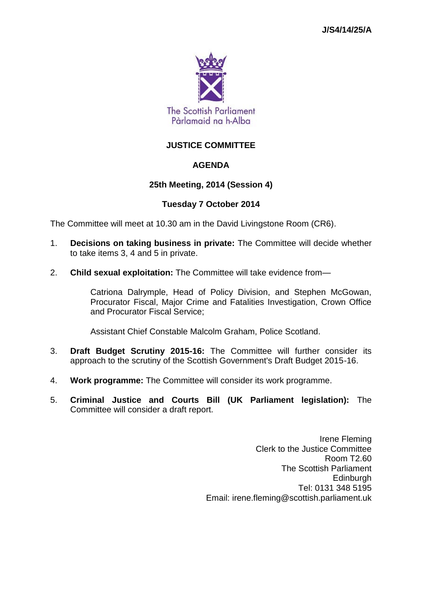

# **JUSTICE COMMITTEE**

# **AGENDA**

# **25th Meeting, 2014 (Session 4)**

# **Tuesday 7 October 2014**

The Committee will meet at 10.30 am in the David Livingstone Room (CR6).

- 1. **Decisions on taking business in private:** The Committee will decide whether to take items 3, 4 and 5 in private.
- 2. **Child sexual exploitation:** The Committee will take evidence from—

Catriona Dalrymple, Head of Policy Division, and Stephen McGowan, Procurator Fiscal, Major Crime and Fatalities Investigation, Crown Office and Procurator Fiscal Service;

Assistant Chief Constable Malcolm Graham, Police Scotland.

- 3. **Draft Budget Scrutiny 2015-16:** The Committee will further consider its approach to the scrutiny of the Scottish Government's Draft Budget 2015-16.
- 4. **Work programme:** The Committee will consider its work programme.
- 5. **Criminal Justice and Courts Bill (UK Parliament legislation):** The Committee will consider a draft report.

Irene Fleming Clerk to the Justice Committee Room T2.60 The Scottish Parliament **Edinburgh** Tel: 0131 348 5195 Email: irene.fleming@scottish.parliament.uk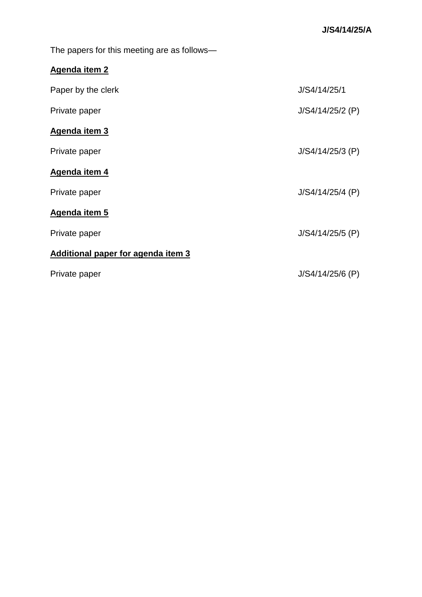The papers for this meeting are as follows—

# **Agenda item 2**

| Paper by the clerk                 | J/S4/14/25/1       |
|------------------------------------|--------------------|
| Private paper                      | $J/S4/14/25/2$ (P) |
| Agenda item 3                      |                    |
| Private paper                      | $J/S4/14/25/3$ (P) |
| Agenda item 4                      |                    |
| Private paper                      | $J/S4/14/25/4$ (P) |
| Agenda item 5                      |                    |
| Private paper                      | $J/S4/14/25/5$ (P) |
| Additional paper for agenda item 3 |                    |
| Private paper                      | $J/S4/14/25/6$ (P) |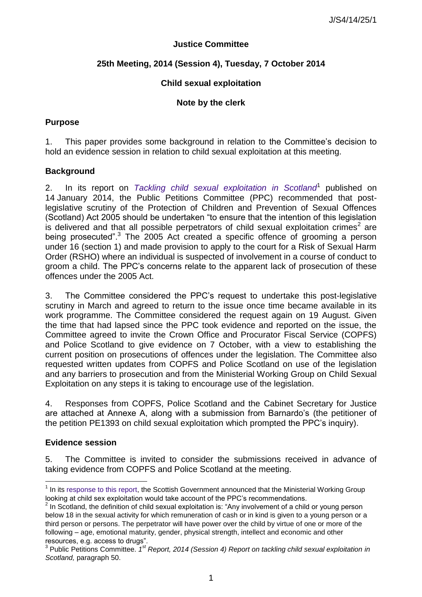# **Justice Committee**

# **25th Meeting, 2014 (Session 4), Tuesday, 7 October 2014**

# **Child sexual exploitation**

# **Note by the clerk**

# **Purpose**

1. This paper provides some background in relation to the Committee"s decision to hold an evidence session in relation to child sexual exploitation at this meeting.

# **Background**

2. In its report on *[Tackling child sexual exploitation in Scotland](http://www.scottish.parliament.uk/S4_PublicPetitionsCommittee/Reports/puR-14-01w-rev-v3.pdf)*<sup>1</sup> published on 14 January 2014, the Public Petitions Committee (PPC) recommended that postlegislative scrutiny of the Protection of Children and Prevention of Sexual Offences (Scotland) Act 2005 should be undertaken "to ensure that the intention of this legislation is delivered and that all possible perpetrators of child sexual exploitation crimes<sup>2</sup> are being prosecuted".<sup>3</sup> The 2005 Act created a specific offence of grooming a person under 16 (section 1) and made provision to apply to the court for a Risk of Sexual Harm Order (RSHO) where an individual is suspected of involvement in a course of conduct to groom a child. The PPC"s concerns relate to the apparent lack of prosecution of these offences under the 2005 Act.

3. The Committee considered the PPC"s request to undertake this post-legislative scrutiny in March and agreed to return to the issue once time became available in its work programme. The Committee considered the request again on 19 August. Given the time that had lapsed since the PPC took evidence and reported on the issue, the Committee agreed to invite the Crown Office and Procurator Fiscal Service (COPFS) and Police Scotland to give evidence on 7 October, with a view to establishing the current position on prosecutions of offences under the legislation. The Committee also requested written updates from COPFS and Police Scotland on use of the legislation and any barriers to prosecution and from the Ministerial Working Group on Child Sexual Exploitation on any steps it is taking to encourage use of the legislation.

4. Responses from COPFS, Police Scotland and the Cabinet Secretary for Justice are attached at Annexe A, along with a submission from Barnardo"s (the petitioner of the petition PE1393 on child sexual exploitation which prompted the PPC"s inquiry).

# **Evidence session**

l

5. The Committee is invited to consider the submissions received in advance of taking evidence from COPFS and Police Scotland at the meeting.

 $1$  In its [response to this report,](http://www.scottish.parliament.uk/S4_PublicPetitionsCommittee/Inquiries/CSE_-_20140430_-_Scottish_Government_Response.pdf) the Scottish Government announced that the Ministerial Working Group looking at child sex exploitation would take account of the PPC"s recommendations.

 $2$  In Scotland, the definition of child sexual exploitation is: "Any involvement of a child or young person below 18 in the sexual activity for which remuneration of cash or in kind is given to a young person or a third person or persons. The perpetrator will have power over the child by virtue of one or more of the following – age, emotional maturity, gender, physical strength, intellect and economic and other resources, e.g. access to drugs".

<sup>&</sup>lt;sup>3</sup> Public Petitions Committee. <sup>1st</sup> Report, 2014 (Session 4) Report on tackling child sexual exploitation in *Scotland,* paragraph 50.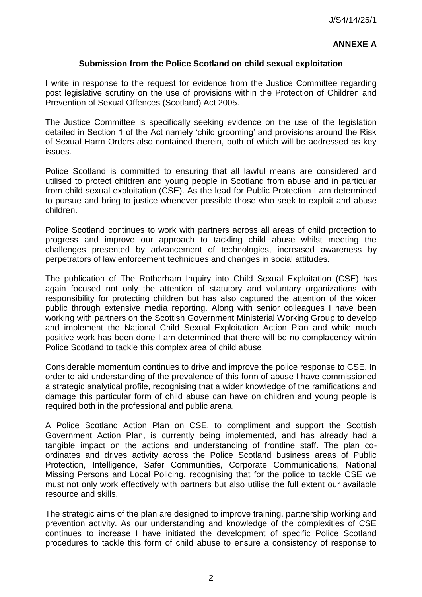# **ANNEXE A**

# **Submission from the Police Scotland on child sexual exploitation**

I write in response to the request for evidence from the Justice Committee regarding post legislative scrutiny on the use of provisions within the Protection of Children and Prevention of Sexual Offences (Scotland) Act 2005.

The Justice Committee is specifically seeking evidence on the use of the legislation detailed in Section 1 of the Act namely "child grooming" and provisions around the Risk of Sexual Harm Orders also contained therein, both of which will be addressed as key issues.

Police Scotland is committed to ensuring that all lawful means are considered and utilised to protect children and young people in Scotland from abuse and in particular from child sexual exploitation (CSE). As the lead for Public Protection I am determined to pursue and bring to justice whenever possible those who seek to exploit and abuse children.

Police Scotland continues to work with partners across all areas of child protection to progress and improve our approach to tackling child abuse whilst meeting the challenges presented by advancement of technologies, increased awareness by perpetrators of law enforcement techniques and changes in social attitudes.

The publication of The Rotherham Inquiry into Child Sexual Exploitation (CSE) has again focused not only the attention of statutory and voluntary organizations with responsibility for protecting children but has also captured the attention of the wider public through extensive media reporting. Along with senior colleagues I have been working with partners on the Scottish Government Ministerial Working Group to develop and implement the National Child Sexual Exploitation Action Plan and while much positive work has been done I am determined that there will be no complacency within Police Scotland to tackle this complex area of child abuse.

Considerable momentum continues to drive and improve the police response to CSE. In order to aid understanding of the prevalence of this form of abuse I have commissioned a strategic analytical profile, recognising that a wider knowledge of the ramifications and damage this particular form of child abuse can have on children and young people is required both in the professional and public arena.

A Police Scotland Action Plan on CSE, to compliment and support the Scottish Government Action Plan, is currently being implemented, and has already had a tangible impact on the actions and understanding of frontline staff. The plan coordinates and drives activity across the Police Scotland business areas of Public Protection, Intelligence, Safer Communities, Corporate Communications, National Missing Persons and Local Policing, recognising that for the police to tackle CSE we must not only work effectively with partners but also utilise the full extent our available resource and skills.

The strategic aims of the plan are designed to improve training, partnership working and prevention activity. As our understanding and knowledge of the complexities of CSE continues to increase I have initiated the development of specific Police Scotland procedures to tackle this form of child abuse to ensure a consistency of response to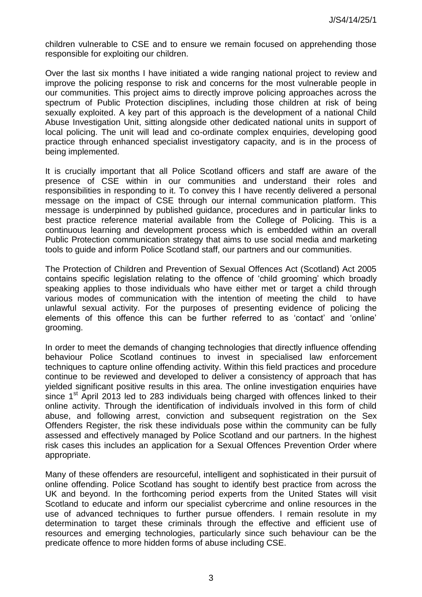children vulnerable to CSE and to ensure we remain focused on apprehending those responsible for exploiting our children.

Over the last six months I have initiated a wide ranging national project to review and improve the policing response to risk and concerns for the most vulnerable people in our communities. This project aims to directly improve policing approaches across the spectrum of Public Protection disciplines, including those children at risk of being sexually exploited. A key part of this approach is the development of a national Child Abuse Investigation Unit, sitting alongside other dedicated national units in support of local policing. The unit will lead and co-ordinate complex enquiries, developing good practice through enhanced specialist investigatory capacity, and is in the process of being implemented.

It is crucially important that all Police Scotland officers and staff are aware of the presence of CSE within in our communities and understand their roles and responsibilities in responding to it. To convey this I have recently delivered a personal message on the impact of CSE through our internal communication platform. This message is underpinned by published guidance, procedures and in particular links to best practice reference material available from the College of Policing. This is a continuous learning and development process which is embedded within an overall Public Protection communication strategy that aims to use social media and marketing tools to guide and inform Police Scotland staff, our partners and our communities.

The Protection of Children and Prevention of Sexual Offences Act (Scotland) Act 2005 contains specific legislation relating to the offence of "child grooming" which broadly speaking applies to those individuals who have either met or target a child through various modes of communication with the intention of meeting the child to have unlawful sexual activity. For the purposes of presenting evidence of policing the elements of this offence this can be further referred to as 'contact' and 'online' grooming.

In order to meet the demands of changing technologies that directly influence offending behaviour Police Scotland continues to invest in specialised law enforcement techniques to capture online offending activity. Within this field practices and procedure continue to be reviewed and developed to deliver a consistency of approach that has yielded significant positive results in this area. The online investigation enquiries have since  $1<sup>st</sup>$  April 2013 led to 283 individuals being charged with offences linked to their online activity. Through the identification of individuals involved in this form of child abuse, and following arrest, conviction and subsequent registration on the Sex Offenders Register, the risk these individuals pose within the community can be fully assessed and effectively managed by Police Scotland and our partners. In the highest risk cases this includes an application for a Sexual Offences Prevention Order where appropriate.

Many of these offenders are resourceful, intelligent and sophisticated in their pursuit of online offending. Police Scotland has sought to identify best practice from across the UK and beyond. In the forthcoming period experts from the United States will visit Scotland to educate and inform our specialist cybercrime and online resources in the use of advanced techniques to further pursue offenders. I remain resolute in my determination to target these criminals through the effective and efficient use of resources and emerging technologies, particularly since such behaviour can be the predicate offence to more hidden forms of abuse including CSE.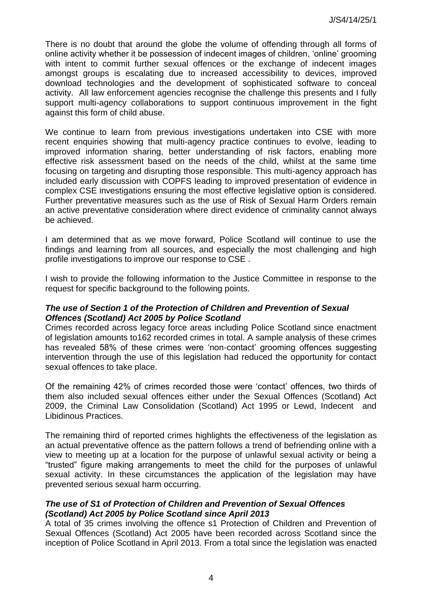There is no doubt that around the globe the volume of offending through all forms of online activity whether it be possession of indecent images of children, "online" grooming with intent to commit further sexual offences or the exchange of indecent images amongst groups is escalating due to increased accessibility to devices, improved download technologies and the development of sophisticated software to conceal activity. All law enforcement agencies recognise the challenge this presents and I fully support multi-agency collaborations to support continuous improvement in the fight against this form of child abuse.

We continue to learn from previous investigations undertaken into CSE with more recent enquiries showing that multi-agency practice continues to evolve, leading to improved information sharing, better understanding of risk factors, enabling more effective risk assessment based on the needs of the child, whilst at the same time focusing on targeting and disrupting those responsible. This multi-agency approach has included early discussion with COPFS leading to improved presentation of evidence in complex CSE investigations ensuring the most effective legislative option is considered. Further preventative measures such as the use of Risk of Sexual Harm Orders remain an active preventative consideration where direct evidence of criminality cannot always be achieved.

I am determined that as we move forward, Police Scotland will continue to use the findings and learning from all sources, and especially the most challenging and high profile investigations to improve our response to CSE .

I wish to provide the following information to the Justice Committee in response to the request for specific background to the following points.

# *The use of Section 1 of the Protection of Children and Prevention of Sexual Offences (Scotland) Act 2005 by Police Scotland*

Crimes recorded across legacy force areas including Police Scotland since enactment of legislation amounts to162 recorded crimes in total. A sample analysis of these crimes has revealed 58% of these crimes were "non-contact" grooming offences suggesting intervention through the use of this legislation had reduced the opportunity for contact sexual offences to take place.

Of the remaining 42% of crimes recorded those were "contact" offences, two thirds of them also included sexual offences either under the Sexual Offences (Scotland) Act 2009, the Criminal Law Consolidation (Scotland) Act 1995 or Lewd, Indecent and Libidinous Practices.

The remaining third of reported crimes highlights the effectiveness of the legislation as an actual preventative offence as the pattern follows a trend of befriending online with a view to meeting up at a location for the purpose of unlawful sexual activity or being a "trusted" figure making arrangements to meet the child for the purposes of unlawful sexual activity. In these circumstances the application of the legislation may have prevented serious sexual harm occurring.

# *The use of S1 of Protection of Children and Prevention of Sexual Offences (Scotland) Act 2005 by Police Scotland since April 2013*

A total of 35 crimes involving the offence s1 Protection of Children and Prevention of Sexual Offences (Scotland) Act 2005 have been recorded across Scotland since the inception of Police Scotland in April 2013. From a total since the legislation was enacted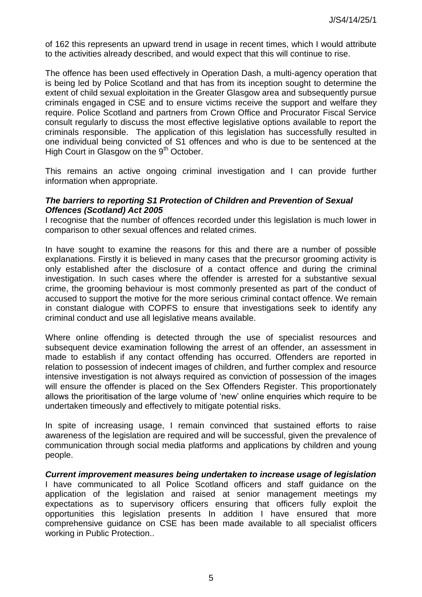of 162 this represents an upward trend in usage in recent times, which I would attribute to the activities already described, and would expect that this will continue to rise.

The offence has been used effectively in Operation Dash, a multi-agency operation that is being led by Police Scotland and that has from its inception sought to determine the extent of child sexual exploitation in the Greater Glasgow area and subsequently pursue criminals engaged in CSE and to ensure victims receive the support and welfare they require. Police Scotland and partners from Crown Office and Procurator Fiscal Service consult regularly to discuss the most effective legislative options available to report the criminals responsible. The application of this legislation has successfully resulted in one individual being convicted of S1 offences and who is due to be sentenced at the High Court in Glasgow on the  $9<sup>th</sup>$  October.

This remains an active ongoing criminal investigation and I can provide further information when appropriate.

#### *The barriers to reporting S1 Protection of Children and Prevention of Sexual Offences (Scotland) Act 2005*

I recognise that the number of offences recorded under this legislation is much lower in comparison to other sexual offences and related crimes.

In have sought to examine the reasons for this and there are a number of possible explanations. Firstly it is believed in many cases that the precursor grooming activity is only established after the disclosure of a contact offence and during the criminal investigation. In such cases where the offender is arrested for a substantive sexual crime, the grooming behaviour is most commonly presented as part of the conduct of accused to support the motive for the more serious criminal contact offence. We remain in constant dialogue with COPFS to ensure that investigations seek to identify any criminal conduct and use all legislative means available.

Where online offending is detected through the use of specialist resources and subsequent device examination following the arrest of an offender, an assessment in made to establish if any contact offending has occurred. Offenders are reported in relation to possession of indecent images of children, and further complex and resource intensive investigation is not always required as conviction of possession of the images will ensure the offender is placed on the Sex Offenders Register. This proportionately allows the prioritisation of the large volume of "new" online enquiries which require to be undertaken timeously and effectively to mitigate potential risks.

In spite of increasing usage, I remain convinced that sustained efforts to raise awareness of the legislation are required and will be successful, given the prevalence of communication through social media platforms and applications by children and young people.

*Current improvement measures being undertaken to increase usage of legislation*  I have communicated to all Police Scotland officers and staff guidance on the application of the legislation and raised at senior management meetings my expectations as to supervisory officers ensuring that officers fully exploit the opportunities this legislation presents In addition I have ensured that more comprehensive guidance on CSE has been made available to all specialist officers working in Public Protection..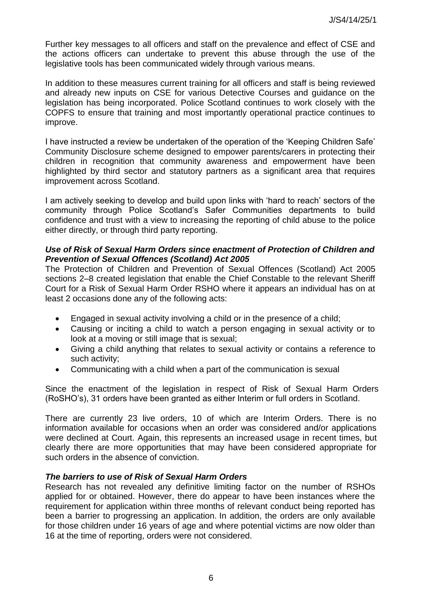Further key messages to all officers and staff on the prevalence and effect of CSE and the actions officers can undertake to prevent this abuse through the use of the legislative tools has been communicated widely through various means.

In addition to these measures current training for all officers and staff is being reviewed and already new inputs on CSE for various Detective Courses and guidance on the legislation has being incorporated. Police Scotland continues to work closely with the COPFS to ensure that training and most importantly operational practice continues to improve.

I have instructed a review be undertaken of the operation of the "Keeping Children Safe" Community Disclosure scheme designed to empower parents/carers in protecting their children in recognition that community awareness and empowerment have been highlighted by third sector and statutory partners as a significant area that requires improvement across Scotland.

I am actively seeking to develop and build upon links with "hard to reach" sectors of the community through Police Scotland"s Safer Communities departments to build confidence and trust with a view to increasing the reporting of child abuse to the police either directly, or through third party reporting.

#### *Use of Risk of Sexual Harm Orders since enactment of Protection of Children and Prevention of Sexual Offences (Scotland) Act 2005*

The Protection of Children and Prevention of Sexual Offences (Scotland) Act 2005 sections 2–8 created legislation that enable the Chief Constable to the relevant Sheriff Court for a Risk of Sexual Harm Order RSHO where it appears an individual has on at least 2 occasions done any of the following acts:

- Engaged in sexual activity involving a child or in the presence of a child;
- Causing or inciting a child to watch a person engaging in sexual activity or to look at a moving or still image that is sexual;
- Giving a child anything that relates to sexual activity or contains a reference to such activity;
- Communicating with a child when a part of the communication is sexual

Since the enactment of the legislation in respect of Risk of Sexual Harm Orders (RoSHO"s), 31 orders have been granted as either Interim or full orders in Scotland.

There are currently 23 live orders, 10 of which are Interim Orders. There is no information available for occasions when an order was considered and/or applications were declined at Court. Again, this represents an increased usage in recent times, but clearly there are more opportunities that may have been considered appropriate for such orders in the absence of conviction.

# *The barriers to use of Risk of Sexual Harm Orders*

Research has not revealed any definitive limiting factor on the number of RSHOs applied for or obtained. However, there do appear to have been instances where the requirement for application within three months of relevant conduct being reported has been a barrier to progressing an application. In addition, the orders are only available for those children under 16 years of age and where potential victims are now older than 16 at the time of reporting, orders were not considered.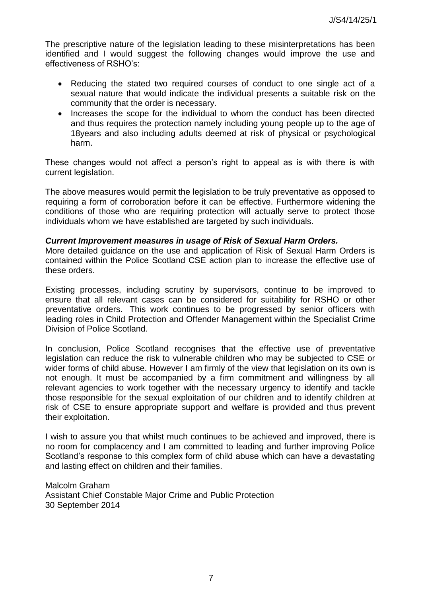The prescriptive nature of the legislation leading to these misinterpretations has been identified and I would suggest the following changes would improve the use and effectiveness of RSHO"s:

- Reducing the stated two required courses of conduct to one single act of a sexual nature that would indicate the individual presents a suitable risk on the community that the order is necessary.
- Increases the scope for the individual to whom the conduct has been directed and thus requires the protection namely including young people up to the age of 18years and also including adults deemed at risk of physical or psychological harm.

These changes would not affect a person's right to appeal as is with there is with current legislation.

The above measures would permit the legislation to be truly preventative as opposed to requiring a form of corroboration before it can be effective. Furthermore widening the conditions of those who are requiring protection will actually serve to protect those individuals whom we have established are targeted by such individuals.

#### *Current Improvement measures in usage of Risk of Sexual Harm Orders.*

More detailed guidance on the use and application of Risk of Sexual Harm Orders is contained within the Police Scotland CSE action plan to increase the effective use of these orders.

Existing processes, including scrutiny by supervisors, continue to be improved to ensure that all relevant cases can be considered for suitability for RSHO or other preventative orders. This work continues to be progressed by senior officers with leading roles in Child Protection and Offender Management within the Specialist Crime Division of Police Scotland.

In conclusion, Police Scotland recognises that the effective use of preventative legislation can reduce the risk to vulnerable children who may be subjected to CSE or wider forms of child abuse. However I am firmly of the view that legislation on its own is not enough. It must be accompanied by a firm commitment and willingness by all relevant agencies to work together with the necessary urgency to identify and tackle those responsible for the sexual exploitation of our children and to identify children at risk of CSE to ensure appropriate support and welfare is provided and thus prevent their exploitation.

I wish to assure you that whilst much continues to be achieved and improved, there is no room for complacency and I am committed to leading and further improving Police Scotland"s response to this complex form of child abuse which can have a devastating and lasting effect on children and their families.

Malcolm Graham Assistant Chief Constable Major Crime and Public Protection 30 September 2014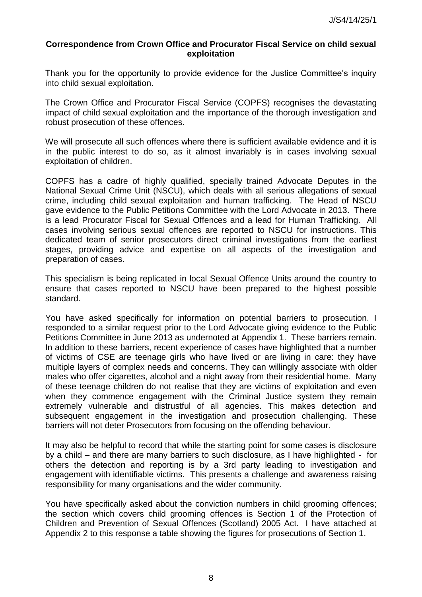#### **Correspondence from Crown Office and Procurator Fiscal Service on child sexual exploitation**

Thank you for the opportunity to provide evidence for the Justice Committee"s inquiry into child sexual exploitation.

The Crown Office and Procurator Fiscal Service (COPFS) recognises the devastating impact of child sexual exploitation and the importance of the thorough investigation and robust prosecution of these offences.

We will prosecute all such offences where there is sufficient available evidence and it is in the public interest to do so, as it almost invariably is in cases involving sexual exploitation of children.

COPFS has a cadre of highly qualified, specially trained Advocate Deputes in the National Sexual Crime Unit (NSCU), which deals with all serious allegations of sexual crime, including child sexual exploitation and human trafficking. The Head of NSCU gave evidence to the Public Petitions Committee with the Lord Advocate in 2013. There is a lead Procurator Fiscal for Sexual Offences and a lead for Human Trafficking. All cases involving serious sexual offences are reported to NSCU for instructions. This dedicated team of senior prosecutors direct criminal investigations from the earliest stages, providing advice and expertise on all aspects of the investigation and preparation of cases.

This specialism is being replicated in local Sexual Offence Units around the country to ensure that cases reported to NSCU have been prepared to the highest possible standard.

You have asked specifically for information on potential barriers to prosecution. I responded to a similar request prior to the Lord Advocate giving evidence to the Public Petitions Committee in June 2013 as undernoted at Appendix 1. These barriers remain. In addition to these barriers, recent experience of cases have highlighted that a number of victims of CSE are teenage girls who have lived or are living in care: they have multiple layers of complex needs and concerns. They can willingly associate with older males who offer cigarettes, alcohol and a night away from their residential home. Many of these teenage children do not realise that they are victims of exploitation and even when they commence engagement with the Criminal Justice system they remain extremely vulnerable and distrustful of all agencies. This makes detection and subsequent engagement in the investigation and prosecution challenging. These barriers will not deter Prosecutors from focusing on the offending behaviour.

It may also be helpful to record that while the starting point for some cases is disclosure by a child – and there are many barriers to such disclosure, as I have highlighted - for others the detection and reporting is by a 3rd party leading to investigation and engagement with identifiable victims. This presents a challenge and awareness raising responsibility for many organisations and the wider community.

You have specifically asked about the conviction numbers in child grooming offences; the section which covers child grooming offences is Section 1 of the Protection of Children and Prevention of Sexual Offences (Scotland) 2005 Act. I have attached at Appendix 2 to this response a table showing the figures for prosecutions of Section 1.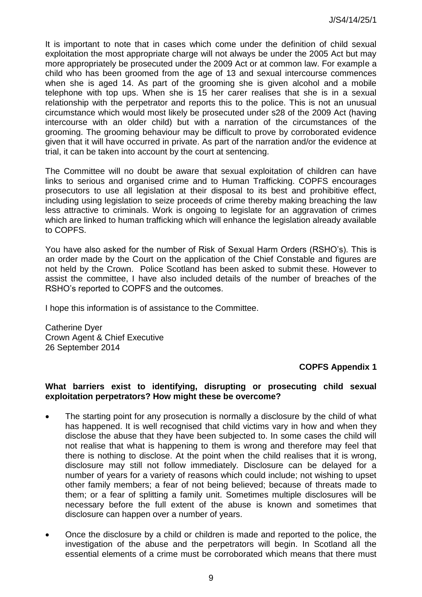It is important to note that in cases which come under the definition of child sexual exploitation the most appropriate charge will not always be under the 2005 Act but may more appropriately be prosecuted under the 2009 Act or at common law. For example a child who has been groomed from the age of 13 and sexual intercourse commences when she is aged 14. As part of the grooming she is given alcohol and a mobile telephone with top ups. When she is 15 her carer realises that she is in a sexual relationship with the perpetrator and reports this to the police. This is not an unusual circumstance which would most likely be prosecuted under s28 of the 2009 Act (having intercourse with an older child) but with a narration of the circumstances of the grooming. The grooming behaviour may be difficult to prove by corroborated evidence given that it will have occurred in private. As part of the narration and/or the evidence at trial, it can be taken into account by the court at sentencing.

The Committee will no doubt be aware that sexual exploitation of children can have links to serious and organised crime and to Human Trafficking. COPFS encourages prosecutors to use all legislation at their disposal to its best and prohibitive effect, including using legislation to seize proceeds of crime thereby making breaching the law less attractive to criminals. Work is ongoing to legislate for an aggravation of crimes which are linked to human trafficking which will enhance the legislation already available to COPFS.

You have also asked for the number of Risk of Sexual Harm Orders (RSHO"s). This is an order made by the Court on the application of the Chief Constable and figures are not held by the Crown. Police Scotland has been asked to submit these. However to assist the committee, I have also included details of the number of breaches of the RSHO"s reported to COPFS and the outcomes.

I hope this information is of assistance to the Committee.

Catherine Dyer Crown Agent & Chief Executive 26 September 2014

# **COPFS Appendix 1**

#### **What barriers exist to identifying, disrupting or prosecuting child sexual exploitation perpetrators? How might these be overcome?**

- The starting point for any prosecution is normally a disclosure by the child of what has happened. It is well recognised that child victims vary in how and when they disclose the abuse that they have been subjected to. In some cases the child will not realise that what is happening to them is wrong and therefore may feel that there is nothing to disclose. At the point when the child realises that it is wrong, disclosure may still not follow immediately. Disclosure can be delayed for a number of years for a variety of reasons which could include; not wishing to upset other family members; a fear of not being believed; because of threats made to them; or a fear of splitting a family unit. Sometimes multiple disclosures will be necessary before the full extent of the abuse is known and sometimes that disclosure can happen over a number of years.
- Once the disclosure by a child or children is made and reported to the police, the investigation of the abuse and the perpetrators will begin. In Scotland all the essential elements of a crime must be corroborated which means that there must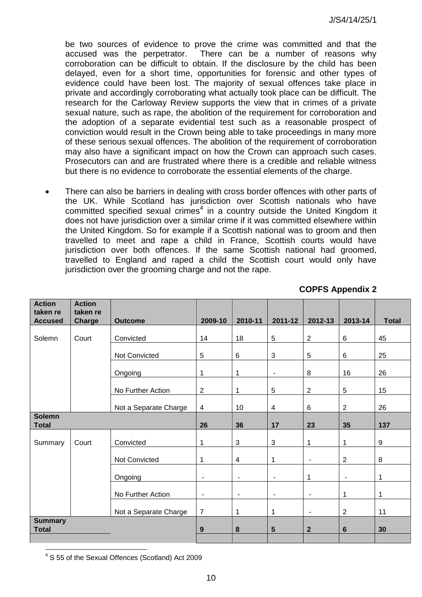be two sources of evidence to prove the crime was committed and that the accused was the perpetrator. There can be a number of reasons why corroboration can be difficult to obtain. If the disclosure by the child has been delayed, even for a short time, opportunities for forensic and other types of evidence could have been lost. The majority of sexual offences take place in private and accordingly corroborating what actually took place can be difficult. The research for the Carloway Review supports the view that in crimes of a private sexual nature, such as rape, the abolition of the requirement for corroboration and the adoption of a separate evidential test such as a reasonable prospect of conviction would result in the Crown being able to take proceedings in many more of these serious sexual offences. The abolition of the requirement of corroboration may also have a significant impact on how the Crown can approach such cases. Prosecutors can and are frustrated where there is a credible and reliable witness but there is no evidence to corroborate the essential elements of the charge.

 There can also be barriers in dealing with cross border offences with other parts of the UK. While Scotland has jurisdiction over Scottish nationals who have committed specified sexual crimes<sup>4</sup> in a country outside the United Kingdom it does not have jurisdiction over a similar crime if it was committed elsewhere within the United Kingdom. So for example if a Scottish national was to groom and then travelled to meet and rape a child in France, Scottish courts would have jurisdiction over both offences. If the same Scottish national had groomed, travelled to England and raped a child the Scottish court would only have jurisdiction over the grooming charge and not the rape.

| <b>Action</b><br>taken re      | <b>Action</b><br>taken re |                       |                |                         |                |                          |                          |              |
|--------------------------------|---------------------------|-----------------------|----------------|-------------------------|----------------|--------------------------|--------------------------|--------------|
| <b>Accused</b>                 | Charge                    | <b>Outcome</b>        | 2009-10        | 2010-11                 | 2011-12        | 2012-13                  | 2013-14                  | <b>Total</b> |
| Solemn                         | Court                     | Convicted             | 14             | 18                      | $\overline{5}$ | $\sqrt{2}$               | $\,6\,$                  | 45           |
|                                |                           | Not Convicted         | $\overline{5}$ | $\,6\,$                 | $\mathbf{3}$   | $\overline{5}$           | $\,6\,$                  | 25           |
|                                |                           | Ongoing               | 1              | 1                       | $\blacksquare$ | 8                        | 16                       | 26           |
|                                |                           | No Further Action     | $\overline{2}$ | 1                       | 5              | $\overline{2}$           | $\overline{5}$           | 15           |
|                                |                           | Not a Separate Charge | $\overline{4}$ | 10                      | $\overline{4}$ | 6                        | $\overline{2}$           | 26           |
| <b>Solemn</b><br><b>Total</b>  |                           | 26                    | 36             | 17                      | 23             | 35                       | 137                      |              |
| Summary                        | Court                     | Convicted             | 1              | $\mathfrak{S}$          | $\mathbf{3}$   | 1                        | $\mathbf 1$              | 9            |
|                                |                           | Not Convicted         | 1              | $\overline{\mathbf{4}}$ | $\mathbf{1}$   | $\overline{\phantom{m}}$ | $\sqrt{2}$               | 8            |
|                                |                           | Ongoing               | $\blacksquare$ | $\blacksquare$          | $\blacksquare$ | 1                        | $\overline{\phantom{a}}$ | 1            |
|                                |                           | No Further Action     | $\frac{1}{2}$  | ä,                      | $\blacksquare$ | $\overline{\phantom{a}}$ | $\mathbf 1$              | 1            |
|                                |                           | Not a Separate Charge | $\overline{7}$ | 1                       | $\mathbf{1}$   | $\overline{\phantom{m}}$ | $\overline{2}$           | 11           |
| <b>Summary</b><br><b>Total</b> |                           | 9                     | $\pmb{8}$      | $5\phantom{1}$          | $\overline{2}$ | $6\phantom{1}$           | 30                       |              |
|                                |                           |                       |                |                         |                |                          |                          |              |

**COPFS Appendix 2** 

<sup>4</sup> S 55 of the Sexual Offences (Scotland) Act 2009

l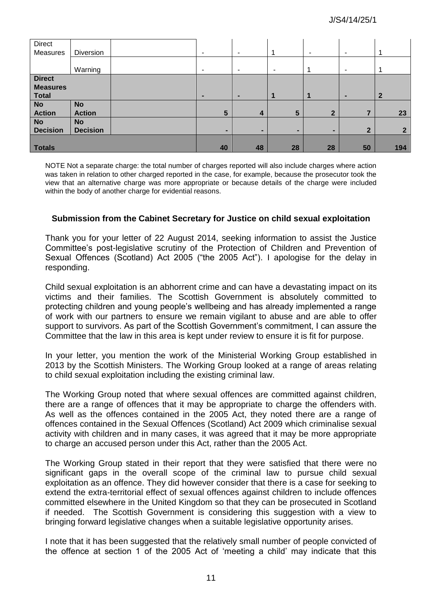| Direct          |                 |                          |                          |                 |              |                       |                |
|-----------------|-----------------|--------------------------|--------------------------|-----------------|--------------|-----------------------|----------------|
| Measures        | Diversion       | $\overline{\phantom{0}}$ | ۰                        |                 | ۰.           | $\tilde{\phantom{a}}$ |                |
|                 |                 |                          |                          |                 |              |                       |                |
|                 | Warning         | ۰                        | ٠                        | ۰               | 1            | ٠                     |                |
| <b>Direct</b>   |                 |                          |                          |                 |              |                       |                |
| <b>Measures</b> |                 |                          |                          |                 |              |                       |                |
| <b>Total</b>    |                 |                          | -                        | 1               |              | ٠                     | $\overline{2}$ |
| <b>No</b>       | <b>No</b>       |                          |                          |                 |              |                       |                |
| <b>Action</b>   | <b>Action</b>   | $5\overline{5}$          | $\overline{4}$           | $5\phantom{.0}$ | $\mathbf{2}$ |                       | 23             |
| <b>No</b>       | <b>No</b>       |                          |                          |                 |              |                       |                |
| <b>Decision</b> | <b>Decision</b> | $\blacksquare$           | $\overline{\phantom{a}}$ | ۰               | ۰            | 2                     | $\mathbf{2}$   |
|                 |                 |                          |                          |                 |              |                       |                |
| Totals          |                 | 40                       | 48                       | 28              | 28           | 50                    | 194            |

NOTE Not a separate charge: the total number of charges reported will also include charges where action was taken in relation to other charged reported in the case, for example, because the prosecutor took the view that an alternative charge was more appropriate or because details of the charge were included within the body of another charge for evidential reasons.

#### **Submission from the Cabinet Secretary for Justice on child sexual exploitation**

Thank you for your letter of 22 August 2014, seeking information to assist the Justice Committee"s post-legislative scrutiny of the Protection of Children and Prevention of Sexual Offences (Scotland) Act 2005 ("the 2005 Act"). I apologise for the delay in responding.

Child sexual exploitation is an abhorrent crime and can have a devastating impact on its victims and their families. The Scottish Government is absolutely committed to protecting children and young people"s wellbeing and has already implemented a range of work with our partners to ensure we remain vigilant to abuse and are able to offer support to survivors. As part of the Scottish Government's commitment, I can assure the Committee that the law in this area is kept under review to ensure it is fit for purpose.

In your letter, you mention the work of the Ministerial Working Group established in 2013 by the Scottish Ministers. The Working Group looked at a range of areas relating to child sexual exploitation including the existing criminal law.

The Working Group noted that where sexual offences are committed against children, there are a range of offences that it may be appropriate to charge the offenders with. As well as the offences contained in the 2005 Act, they noted there are a range of offences contained in the Sexual Offences (Scotland) Act 2009 which criminalise sexual activity with children and in many cases, it was agreed that it may be more appropriate to charge an accused person under this Act, rather than the 2005 Act.

The Working Group stated in their report that they were satisfied that there were no significant gaps in the overall scope of the criminal law to pursue child sexual exploitation as an offence. They did however consider that there is a case for seeking to extend the extra-territorial effect of sexual offences against children to include offences committed elsewhere in the United Kingdom so that they can be prosecuted in Scotland if needed. The Scottish Government is considering this suggestion with a view to bringing forward legislative changes when a suitable legislative opportunity arises.

I note that it has been suggested that the relatively small number of people convicted of the offence at section 1 of the 2005 Act of "meeting a child" may indicate that this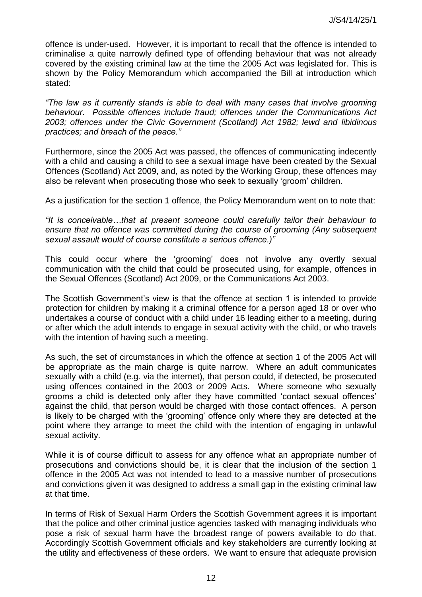offence is under-used. However, it is important to recall that the offence is intended to criminalise a quite narrowly defined type of offending behaviour that was not already covered by the existing criminal law at the time the 2005 Act was legislated for. This is shown by the Policy Memorandum which accompanied the Bill at introduction which stated:

*"The law as it currently stands is able to deal with many cases that involve grooming behaviour. Possible offences include fraud; offences under the Communications Act 2003; offences under the Civic Government (Scotland) Act 1982; lewd and libidinous practices; and breach of the peace."* 

Furthermore, since the 2005 Act was passed, the offences of communicating indecently with a child and causing a child to see a sexual image have been created by the Sexual Offences (Scotland) Act 2009, and, as noted by the Working Group, these offences may also be relevant when prosecuting those who seek to sexually "groom" children.

As a justification for the section 1 offence, the Policy Memorandum went on to note that:

*"It is conceivable…that at present someone could carefully tailor their behaviour to ensure that no offence was committed during the course of grooming (Any subsequent sexual assault would of course constitute a serious offence.)"* 

This could occur where the "grooming" does not involve any overtly sexual communication with the child that could be prosecuted using, for example, offences in the Sexual Offences (Scotland) Act 2009, or the Communications Act 2003.

The Scottish Government's view is that the offence at section 1 is intended to provide protection for children by making it a criminal offence for a person aged 18 or over who undertakes a course of conduct with a child under 16 leading either to a meeting, during or after which the adult intends to engage in sexual activity with the child, or who travels with the intention of having such a meeting.

As such, the set of circumstances in which the offence at section 1 of the 2005 Act will be appropriate as the main charge is quite narrow. Where an adult communicates sexually with a child (e.g. via the internet), that person could, if detected, be prosecuted using offences contained in the 2003 or 2009 Acts. Where someone who sexually grooms a child is detected only after they have committed "contact sexual offences" against the child, that person would be charged with those contact offences. A person is likely to be charged with the "grooming" offence only where they are detected at the point where they arrange to meet the child with the intention of engaging in unlawful sexual activity.

While it is of course difficult to assess for any offence what an appropriate number of prosecutions and convictions should be, it is clear that the inclusion of the section 1 offence in the 2005 Act was not intended to lead to a massive number of prosecutions and convictions given it was designed to address a small gap in the existing criminal law at that time.

In terms of Risk of Sexual Harm Orders the Scottish Government agrees it is important that the police and other criminal justice agencies tasked with managing individuals who pose a risk of sexual harm have the broadest range of powers available to do that. Accordingly Scottish Government officials and key stakeholders are currently looking at the utility and effectiveness of these orders. We want to ensure that adequate provision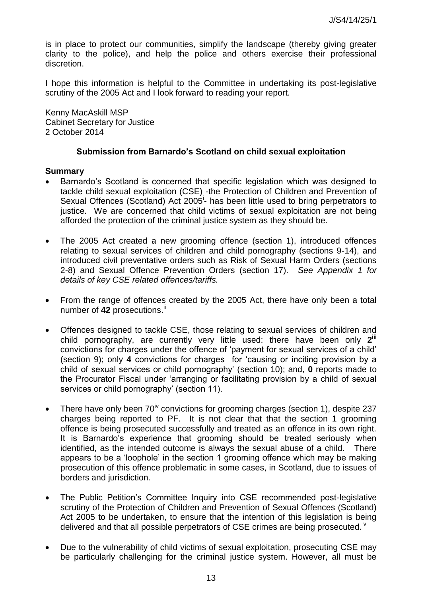is in place to protect our communities, simplify the landscape (thereby giving greater clarity to the police), and help the police and others exercise their professional discretion.

I hope this information is helpful to the Committee in undertaking its post-legislative scrutiny of the 2005 Act and I look forward to reading your report.

Kenny MacAskill MSP Cabinet Secretary for Justice 2 October 2014

#### **Submission from Barnardo's Scotland on child sexual exploitation**

#### **Summary**

- Barnardo"s Scotland is concerned that specific legislation which was designed to tackle child sexual exploitation (CSE) -the Protection of Children and Prevention of Sexual Offences (Scotland) Act 2005<sup>i</sup>- has been little used to bring perpetrators to justice. We are concerned that child victims of sexual exploitation are not being afforded the protection of the criminal justice system as they should be.
- The 2005 Act created a new grooming offence (section 1), introduced offences relating to sexual services of children and child pornography (sections 9-14), and introduced civil preventative orders such as Risk of Sexual Harm Orders (sections 2-8) and Sexual Offence Prevention Orders (section 17). *See Appendix 1 for details of key CSE related offences/tariffs.*
- From the range of offences created by the 2005 Act, there have only been a total number of 42 prosecutions.<sup>i</sup>
- Offences designed to tackle CSE, those relating to sexual services of children and child pornography, are currently very little used: there have been only **2 iii** convictions for charges under the offence of "payment for sexual services of a child" (section 9); only **4** convictions for charges for "causing or inciting provision by a child of sexual services or child pornography" (section 10); and, **0** reports made to the Procurator Fiscal under "arranging or facilitating provision by a child of sexual services or child pornography' (section 11).
- There have only been  $70^{\text{iv}}$  convictions for grooming charges (section 1), despite 237 charges being reported to PF. It is not clear that that the section 1 grooming offence is being prosecuted successfully and treated as an offence in its own right. It is Barnardo"s experience that grooming should be treated seriously when identified, as the intended outcome is always the sexual abuse of a child. There appears to be a "loophole" in the section 1 grooming offence which may be making prosecution of this offence problematic in some cases, in Scotland, due to issues of borders and jurisdiction.
- The Public Petition's Committee Inquiry into CSE recommended post-legislative scrutiny of the Protection of Children and Prevention of Sexual Offences (Scotland) Act 2005 to be undertaken, to ensure that the intention of this legislation is being delivered and that all possible perpetrators of CSE crimes are being prosecuted.  $\theta$
- Due to the vulnerability of child victims of sexual exploitation, prosecuting CSE may be particularly challenging for the criminal justice system. However, all must be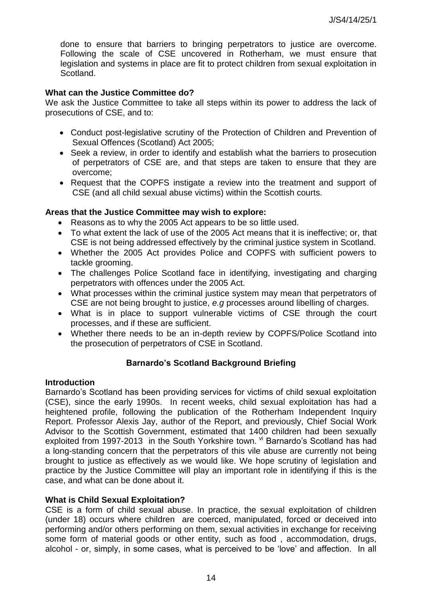done to ensure that barriers to bringing perpetrators to justice are overcome. Following the scale of CSE uncovered in Rotherham, we must ensure that legislation and systems in place are fit to protect children from sexual exploitation in Scotland.

# **What can the Justice Committee do?**

We ask the Justice Committee to take all steps within its power to address the lack of prosecutions of CSE, and to:

- Conduct post-legislative scrutiny of the Protection of Children and Prevention of Sexual Offences (Scotland) Act 2005;
- Seek a review, in order to identify and establish what the barriers to prosecution of perpetrators of CSE are, and that steps are taken to ensure that they are overcome;
- Request that the COPFS instigate a review into the treatment and support of CSE (and all child sexual abuse victims) within the Scottish courts.

#### **Areas that the Justice Committee may wish to explore:**

- Reasons as to why the 2005 Act appears to be so little used.
- To what extent the lack of use of the 2005 Act means that it is ineffective; or, that CSE is not being addressed effectively by the criminal justice system in Scotland.
- Whether the 2005 Act provides Police and COPFS with sufficient powers to tackle grooming.
- The challenges Police Scotland face in identifying, investigating and charging perpetrators with offences under the 2005 Act.
- What processes within the criminal justice system may mean that perpetrators of CSE are not being brought to justice, *e.g* processes around libelling of charges.
- What is in place to support vulnerable victims of CSE through the court processes, and if these are sufficient.
- Whether there needs to be an in-depth review by COPFS/Police Scotland into the prosecution of perpetrators of CSE in Scotland.

# **Barnardo's Scotland Background Briefing**

#### **Introduction**

Barnardo"s Scotland has been providing services for victims of child sexual exploitation (CSE), since the early 1990s. In recent weeks, child sexual exploitation has had a heightened profile, following the publication of the Rotherham Independent Inquiry Report. Professor Alexis Jay, author of the Report, and previously, Chief Social Work Advisor to the Scottish Government, estimated that 1400 children had been sexually exploited from 1997-2013 in the South Yorkshire town. Vi Barnardo's Scotland has had a long-standing concern that the perpetrators of this vile abuse are currently not being brought to justice as effectively as we would like. We hope scrutiny of legislation and practice by the Justice Committee will play an important role in identifying if this is the case, and what can be done about it.

#### **What is Child Sexual Exploitation?**

CSE is a form of child sexual abuse. In practice, the sexual exploitation of children (under 18) occurs where children are coerced, manipulated, forced or deceived into performing and/or others performing on them, sexual activities in exchange for receiving some form of material goods or other entity, such as food , accommodation, drugs, alcohol - or, simply, in some cases, what is perceived to be "love" and affection. In all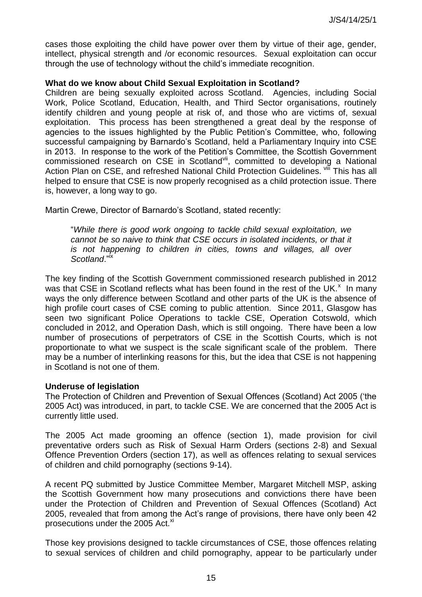cases those exploiting the child have power over them by virtue of their age, gender, intellect, physical strength and /or economic resources. Sexual exploitation can occur through the use of technology without the child"s immediate recognition.

#### **What do we know about Child Sexual Exploitation in Scotland?**

Children are being sexually exploited across Scotland. Agencies, including Social Work, Police Scotland, Education, Health, and Third Sector organisations, routinely identify children and young people at risk of, and those who are victims of, sexual exploitation. This process has been strengthened a great deal by the response of agencies to the issues highlighted by the Public Petition"s Committee, who, following successful campaigning by Barnardo's Scotland, held a Parliamentary Inquiry into CSE in 2013. In response to the work of the Petition"s Committee, the Scottish Government commissioned research on CSE in Scotland<sup>vii</sup>, committed to developing a National Action Plan on CSE, and refreshed National Child Protection Guidelines. Vill This has all helped to ensure that CSE is now properly recognised as a child protection issue. There is, however, a long way to go.

Martin Crewe, Director of Barnardo"s Scotland, stated recently:

"*While there is good work ongoing to tackle child sexual exploitation, we cannot be so naive to think that CSE occurs in isolated incidents, or that it is not happening to children in cities, towns and villages, all over Scotland*."ix

The key finding of the Scottish Government commissioned research published in 2012 was that CSE in Scotland reflects what has been found in the rest of the UK. $^{\star}$  In many ways the only difference between Scotland and other parts of the UK is the absence of high profile court cases of CSE coming to public attention. Since 2011, Glasgow has seen two significant Police Operations to tackle CSE, Operation Cotswold, which concluded in 2012, and Operation Dash, which is still ongoing. There have been a low number of prosecutions of perpetrators of CSE in the Scottish Courts, which is not proportionate to what we suspect is the scale significant scale of the problem. There may be a number of interlinking reasons for this, but the idea that CSE is not happening in Scotland is not one of them.

#### **Underuse of legislation**

The Protection of Children and Prevention of Sexual Offences (Scotland) Act 2005 ("the 2005 Act) was introduced, in part, to tackle CSE. We are concerned that the 2005 Act is currently little used.

The 2005 Act made grooming an offence (section 1), made provision for civil preventative orders such as Risk of Sexual Harm Orders (sections 2-8) and Sexual Offence Prevention Orders (section 17), as well as offences relating to sexual services of children and child pornography (sections 9-14).

A recent PQ submitted by Justice Committee Member, Margaret Mitchell MSP, asking the Scottish Government how many prosecutions and convictions there have been under the Protection of Children and Prevention of Sexual Offences (Scotland) Act 2005, revealed that from among the Act"s range of provisions, there have only been 42 prosecutions under the 2005 Act.<sup>xi</sup>

Those key provisions designed to tackle circumstances of CSE, those offences relating to sexual services of children and child pornography, appear to be particularly under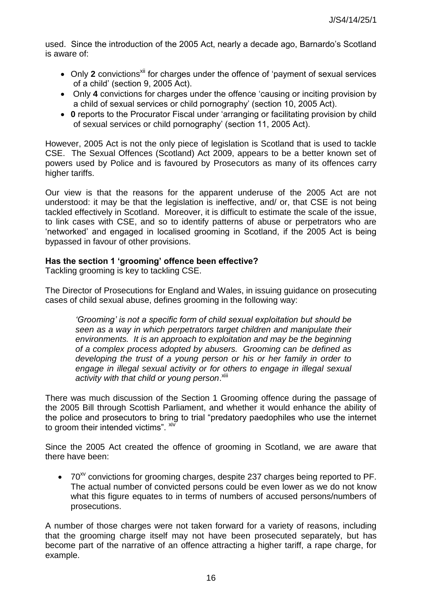used. Since the introduction of the 2005 Act, nearly a decade ago, Barnardo"s Scotland is aware of:

- Only 2 convictions<sup>xii</sup> for charges under the offence of 'payment of sexual services of a child" (section 9, 2005 Act).
- Only **4** convictions for charges under the offence "causing or inciting provision by a child of sexual services or child pornography" (section 10, 2005 Act).
- **0** reports to the Procurator Fiscal under "arranging or facilitating provision by child of sexual services or child pornography" (section 11, 2005 Act).

However, 2005 Act is not the only piece of legislation is Scotland that is used to tackle CSE. The Sexual Offences (Scotland) Act 2009, appears to be a better known set of powers used by Police and is favoured by Prosecutors as many of its offences carry higher tariffs.

Our view is that the reasons for the apparent underuse of the 2005 Act are not understood: it may be that the legislation is ineffective, and/ or, that CSE is not being tackled effectively in Scotland. Moreover, it is difficult to estimate the scale of the issue, to link cases with CSE, and so to identify patterns of abuse or perpetrators who are "networked" and engaged in localised grooming in Scotland, if the 2005 Act is being bypassed in favour of other provisions.

# **Has the section 1 'grooming' offence been effective?**

Tackling grooming is key to tackling CSE.

The Director of Prosecutions for England and Wales, in issuing guidance on prosecuting cases of child sexual abuse, defines grooming in the following way:

*"Grooming" is not a specific form of child sexual exploitation but should be seen as a way in which perpetrators target children and manipulate their environments. It is an approach to exploitation and may be the beginning of a complex process adopted by abusers. Grooming can be defined as developing the trust of a young person or his or her family in order to engage in illegal sexual activity or for others to engage in illegal sexual*  activity with that child or young person. Xiii

There was much discussion of the Section 1 Grooming offence during the passage of the 2005 Bill through Scottish Parliament, and whether it would enhance the ability of the police and prosecutors to bring to trial "predatory paedophiles who use the internet to groom their intended victims". <sup>xiv</sup>

Since the 2005 Act created the offence of grooming in Scotland, we are aware that there have been:

 $\bullet$  70<sup>xv</sup> convictions for grooming charges, despite 237 charges being reported to PF. The actual number of convicted persons could be even lower as we do not know what this figure equates to in terms of numbers of accused persons/numbers of prosecutions.

A number of those charges were not taken forward for a variety of reasons, including that the grooming charge itself may not have been prosecuted separately, but has become part of the narrative of an offence attracting a higher tariff, a rape charge, for example.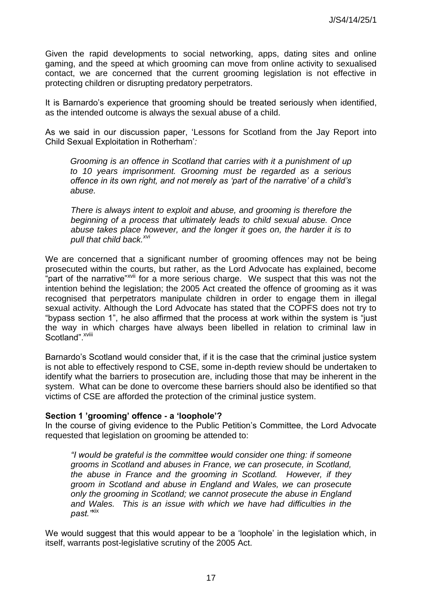Given the rapid developments to social networking, apps, dating sites and online gaming, and the speed at which grooming can move from online activity to sexualised contact, we are concerned that the current grooming legislation is not effective in protecting children or disrupting predatory perpetrators.

It is Barnardo's experience that grooming should be treated seriously when identified, as the intended outcome is always the sexual abuse of a child.

As we said in our discussion paper, "Lessons for Scotland from the Jay Report into Child Sexual Exploitation in Rotherham"*:* 

*Grooming is an offence in Scotland that carries with it a punishment of up to 10 years imprisonment. Grooming must be regarded as a serious offence in its own right, and not merely as "part of the narrative" of a child"s abuse.* 

*There is always intent to exploit and abuse, and grooming is therefore the beginning of a process that ultimately leads to child sexual abuse. Once abuse takes place however, and the longer it goes on, the harder it is to pull that child back.xvi*

We are concerned that a significant number of grooming offences may not be being prosecuted within the courts, but rather, as the Lord Advocate has explained, become part of the narrative"<sup>xvii</sup> for a more serious charge. We suspect that this was not the intention behind the legislation; the 2005 Act created the offence of grooming as it was recognised that perpetrators manipulate children in order to engage them in illegal sexual activity. Although the Lord Advocate has stated that the COPFS does not try to "bypass section 1", he also affirmed that the process at work within the system is "just the way in which charges have always been libelled in relation to criminal law in Scotland".<sup>xviii</sup>

Barnardo"s Scotland would consider that, if it is the case that the criminal justice system is not able to effectively respond to CSE, some in-depth review should be undertaken to identify what the barriers to prosecution are, including those that may be inherent in the system. What can be done to overcome these barriers should also be identified so that victims of CSE are afforded the protection of the criminal justice system.

#### **Section 1 'grooming' offence - a 'loophole'?**

In the course of giving evidence to the Public Petition"s Committee, the Lord Advocate requested that legislation on grooming be attended to:

*"I would be grateful is the committee would consider one thing: if someone grooms in Scotland and abuses in France, we can prosecute, in Scotland, the abuse in France and the grooming in Scotland. However, if they groom in Scotland and abuse in England and Wales, we can prosecute only the grooming in Scotland; we cannot prosecute the abuse in England and Wales. This is an issue with which we have had difficulties in the past."*xix

We would suggest that this would appear to be a 'loophole' in the legislation which, in itself, warrants post-legislative scrutiny of the 2005 Act.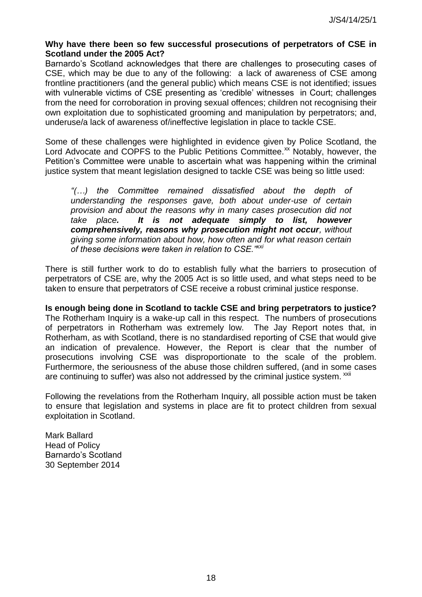# **Why have there been so few successful prosecutions of perpetrators of CSE in Scotland under the 2005 Act?**

Barnardo"s Scotland acknowledges that there are challenges to prosecuting cases of CSE, which may be due to any of the following: a lack of awareness of CSE among frontline practitioners (and the general public) which means CSE is not identified; issues with vulnerable victims of CSE presenting as 'credible' witnesses in Court; challenges from the need for corroboration in proving sexual offences; children not recognising their own exploitation due to sophisticated grooming and manipulation by perpetrators; and, underuse/a lack of awareness of/ineffective legislation in place to tackle CSE.

Some of these challenges were highlighted in evidence given by Police Scotland, the Lord Advocate and COPFS to the Public Petitions Committee.<sup>xx</sup> Notably, however, the Petition"s Committee were unable to ascertain what was happening within the criminal justice system that meant legislation designed to tackle CSE was being so little used:

*"(…) the Committee remained dissatisfied about the depth of understanding the responses gave, both about under-use of certain provision and about the reasons why in many cases prosecution did not take place. It is not adequate simply to list, however comprehensively, reasons why prosecution might not occur, without giving some information about how, how often and for what reason certain of these decisions were taken in relation to CSE."xxi* 

There is still further work to do to establish fully what the barriers to prosecution of perpetrators of CSE are, why the 2005 Act is so little used, and what steps need to be taken to ensure that perpetrators of CSE receive a robust criminal justice response.

**Is enough being done in Scotland to tackle CSE and bring perpetrators to justice?**  The Rotherham Inquiry is a wake-up call in this respect. The numbers of prosecutions of perpetrators in Rotherham was extremely low. The Jay Report notes that, in Rotherham, as with Scotland, there is no standardised reporting of CSE that would give an indication of prevalence. However, the Report is clear that the number of prosecutions involving CSE was disproportionate to the scale of the problem. Furthermore, the seriousness of the abuse those children suffered, (and in some cases are continuing to suffer) was also not addressed by the criminal justice system. <sup>xxii</sup>

Following the revelations from the Rotherham Inquiry, all possible action must be taken to ensure that legislation and systems in place are fit to protect children from sexual exploitation in Scotland.

Mark Ballard Head of Policy Barnardo"s Scotland 30 September 2014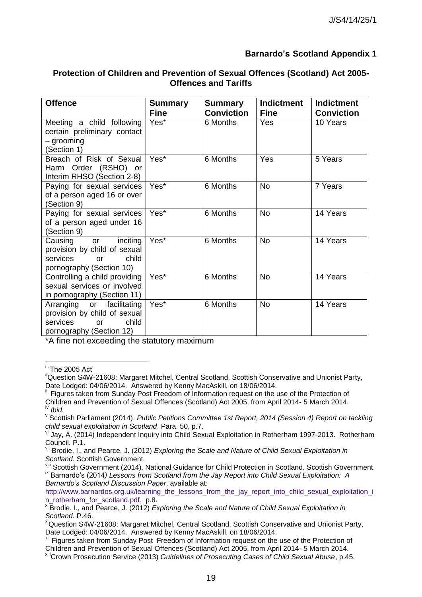# **Barnardo's Scotland Appendix 1**

# **Protection of Children and Prevention of Sexual Offences (Scotland) Act 2005- Offences and Tariffs**

| <b>Offence</b>                                                                                                     | <b>Summary</b><br><b>Summary</b><br><b>Conviction</b><br><b>Fine</b> |          | <b>Indictment</b><br><b>Fine</b> | <b>Indictment</b><br><b>Conviction</b> |  |
|--------------------------------------------------------------------------------------------------------------------|----------------------------------------------------------------------|----------|----------------------------------|----------------------------------------|--|
| Meeting a child following<br>certain preliminary contact<br>- grooming<br>(Section 1)                              | Yes*                                                                 | 6 Months | Yes                              | 10 Years                               |  |
| Breach of Risk of Sexual<br>Harm Order (RSHO) or<br>Interim RHSO (Section 2-8)                                     | Yes*                                                                 | 6 Months | Yes                              | 5 Years                                |  |
| Paying for sexual services<br>of a person aged 16 or over<br>(Section 9)                                           | Yes*                                                                 | 6 Months | <b>No</b>                        | 7 Years                                |  |
| Paying for sexual services<br>of a person aged under 16<br>(Section 9)                                             | Yes*                                                                 | 6 Months | <b>No</b>                        | 14 Years                               |  |
| Causing or inciting<br>provision by child of sexual<br>services<br>child<br>$\alpha$ r<br>pornography (Section 10) | Yes*                                                                 | 6 Months | <b>No</b>                        | 14 Years                               |  |
| Controlling a child providing<br>sexual services or involved<br>in pornography (Section 11)                        | Yes*                                                                 | 6 Months | <b>No</b>                        | 14 Years                               |  |
| Arranging or facilitating<br>provision by child of sexual<br>child<br>services<br>or<br>pornography (Section 12)   | Yes*                                                                 | 6 Months | <b>No</b>                        | 14 Years                               |  |

\*A fine not exceeding the statutory maximum

 i "The 2005 Act"

<sup>&</sup>lt;sup>ii</sup>Question S4W-21608: Margaret Mitchel, Central Scotland, Scottish Conservative and Unionist Party, Date Lodged: 04/06/2014. Answered by Kenny MacAskill, on 18/06/2014.

iii Figures taken from Sunday Post Freedom of Information request on the use of the Protection of Children and Prevention of Sexual Offences (Scotland) Act 2005, from April 2014- 5 March 2014. *Ibid.* 

v Scottish Parliament (2014). *Public Petitions Committee 1st Report, 2014 (Session 4) Report on tackling child sexual exploitation in Scotland*. Para. 50, p.7.

vi Jay, A. (2014) Independent Inquiry into Child Sexual Exploitation in Rotherham 1997-2013. Rotherham Council. P.1.

vii Brodie, I., and Pearce, J. (2012) *Exploring the Scale and Nature of Child Sexual Exploitation in Scotland*. Scottish Government.

Scottish Government (2014). National Guidance for Child Protection in Scotland. Scottish Government. <sup>ix</sup> Barnardo's (2014) Lessons from Scotland from the Jay Report into Child Sexual Exploitation: A *Barnardo"s Scotland Discussion Paper*, available at:

[http://www.barnardos.org.uk/learning\\_the\\_lessons\\_from\\_the\\_jay\\_report\\_into\\_child\\_sexual\\_exploitation\\_i](http://www.barnardos.org.uk/learning_the_lessons_from_the_jay_report_into_child_sexual_exploitation_in_rotherham_for_scotland.pdf) [n\\_rotherham\\_for\\_scotland.pdf,](http://www.barnardos.org.uk/learning_the_lessons_from_the_jay_report_into_child_sexual_exploitation_in_rotherham_for_scotland.pdf) p.8.

x Brodie, I., and Pearce, J. (2012) *Exploring the Scale and Nature of Child Sexual Exploitation in Scotland*. P.46.

xiQuestion S4W-21608: Margaret Mitchel, Central Scotland, Scottish Conservative and Unionist Party, Date Lodged: 04/06/2014. Answered by Kenny MacAskill, on 18/06/2014.

xii Figures taken from Sunday Post Freedom of Information request on the use of the Protection of Children and Prevention of Sexual Offences (Scotland) Act 2005, from April 2014- 5 March 2014.

xiiiCrown Prosecution Service (2013) *Guidelines of Prosecuting Cases of Child Sexual Abuse*, p.45.